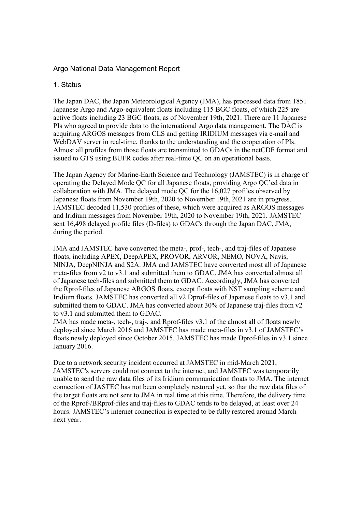# Argo National Data Management Report

### 1. Status

The Japan DAC, the Japan Meteorological Agency (JMA), has processed data from 1851 Japanese Argo and Argo-equivalent floats including 115 BGC floats, of which 225 are active floats including 23 BGC floats, as of November 19th, 2021. There are 11 Japanese PIs who agreed to provide data to the international Argo data management. The DAC is acquiring ARGOS messages from CLS and getting IRIDIUM messages via e-mail and WebDAV server in real-time, thanks to the understanding and the cooperation of PIs. Almost all profiles from those floats are transmitted to GDACs in the netCDF format and issued to GTS using BUFR codes after real-time QC on an operational basis.

The Japan Agency for Marine-Earth Science and Technology (JAMSTEC) is in charge of operating the Delayed Mode QC for all Japanese floats, providing Argo QC'ed data in collaboration with JMA. The delayed mode QC for the 16,027 profiles observed by Japanese floats from November 19th, 2020 to November 19th, 2021 are in progress. JAMSTEC decoded 11,530 profiles of these, which were acquired as ARGOS messages and Iridium messages from November 19th, 2020 to November 19th, 2021. JAMSTEC sent 16,498 delayed profile files (D-files) to GDACs through the Japan DAC, JMA, during the period.

JMA and JAMSTEC have converted the meta-, prof-, tech-, and traj-files of Japanese floats, including APEX, DeepAPEX, PROVOR, ARVOR, NEMO, NOVA, Navis, NINJA, DeepNINJA and S2A. JMA and JAMSTEC have converted most all of Japanese meta-files from v2 to v3.1 and submitted them to GDAC. JMA has converted almost all of Japanese tech-files and submitted them to GDAC. Accordingly, JMA has converted the Rprof-files of Japanese ARGOS floats, except floats with NST sampling scheme and Iridium floats. JAMSTEC has converted all v2 Dprof-files of Japanese floats to v3.1 and submitted them to GDAC. JMA has converted about 30% of Japanese traj-files from v2 to v3.1 and submitted them to GDAC.

JMA has made meta-, tech-, traj-, and Rprof-files v3.1 of the almost all of floats newly deployed since March 2016 and JAMSTEC has made meta-files in v3.1 of JAMSTEC's floats newly deployed since October 2015. JAMSTEC has made Dprof-files in v3.1 since January 2016.

Due to a network security incident occurred at JAMSTEC in mid-March 2021, JAMSTEC's servers could not connect to the internet, and JAMSTEC was temporarily unable to send the raw data files of its Iridium communication floats to JMA. The internet connection of JASTEC has not been completely restored yet, so that the raw data files of the target floats are not sent to JMA in real time at this time. Therefore, the delivery time of the Rprof-/BRprof-files and traj-files to GDAC tends to be delayed, at least over 24 hours. JAMSTEC's internet connection is expected to be fully restored around March next year.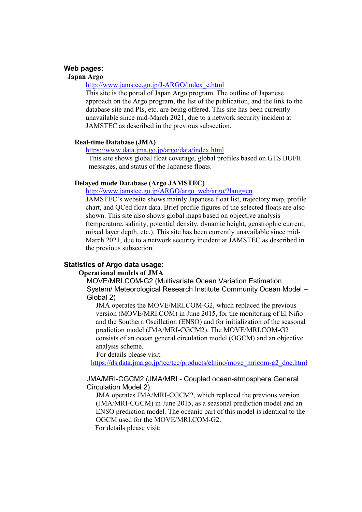#### **Web pages:**

#### **Japan Argo**

# http://www.jamstec.go.jp/J-ARGO/index\_e.html

This site is the portal of Japan Argo program. The outline of Japanese approach on the Argo program, the list of the publication, and the link to the database site and PIs, etc. are being offered. This site has been currently unavailable since mid-March 2021, due to a network security incident at JAMSTEC as described in the previous subsection.

### **Real-time Database (JMA)**

# https://www.data.jma.go.jp/argo/data/index.html

This site shows global float coverage, global profiles based on GTS BUFR messages, and status of the Japanese floats.

### **Delayed mode Database (Argo JAMSTEC)**

http://www.jamstec.go.jp/ARGO/argo\_web/argo/?lang=en

JAMSTEC's website shows mainly Japanese float list, trajectory map, profile chart, and QCed float data. Brief profile figures of the selected floats are also shown. This site also shows global maps based on objective analysis (temperature, salinity, potential density, dynamic height, geostrophic current, mixed layer depth, etc.). This site has been currently unavailable since mid-March 2021, due to a network security incident at JAMSTEC as described in the previous subsection.

### **Statistics of Argo data usage:**

### **Operational models of JMA**

MOVE/MRI.COM-G2 (Multivariate Ocean Variation Estimation System/ Meteorological Research Institute Community Ocean Model – Global 2)

JMA operates the MOVE/MRI.COM-G2, which replaced the previous version (MOVE/MRI.COM) in June 2015, for the monitoring of El Niño and the Southern Oscillation (ENSO) and for initialization of the seasonal prediction model (JMA/MRI-CGCM2). The MOVE/MRI.COM-G2 consists of an ocean general circulation model (OGCM) and an objective analysis scheme.

For details please visit:

https://ds.data.jma.go.jp/tcc/tcc/products/elnino/move\_mricom-g2\_doc.html

#### JMA/MRI-CGCM2 (JMA/MRI - Coupled ocean-atmosphere General Circulation Model 2)

JMA operates JMA/MRI-CGCM2, which replaced the previous version (JMA/MRI-CGCM) in June 2015, as a seasonal prediction model and an ENSO prediction model. The oceanic part of this model is identical to the OGCM used for the MOVE/MRI.COM-G2.

For details please visit: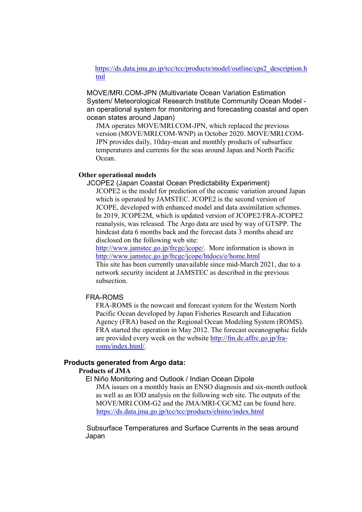https://ds.data.jma.go.jp/tcc/tcc/products/model/outline/cps2\_description.h tml

MOVE/MRI.COM-JPN (Multivariate Ocean Variation Estimation System/ Meteorological Research Institute Community Ocean Model an operational system for monitoring and forecasting coastal and open ocean states around Japan)

JMA operates MOVE/MRI.COM-JPN, which replaced the previous version (MOVE/MRI.COM-WNP) in October 2020. MOVE/MRI.COM-JPN provides daily, 10day-mean and monthly products of subsurface temperatures and currents for the seas around Japan and North Pacific Ocean.

#### **Other operational models**

JCOPE2 (Japan Coastal Ocean Predictability Experiment) JCOPE2 is the model for prediction of the oceanic variation around Japan which is operated by JAMSTEC. JCOPE2 is the second version of JCOPE, developed with enhanced model and data assimilation schemes. In 2019, JCOPE2M, which is updated version of JCOPE2/FRA-JCOPE2 reanalysis, was released. The Argo data are used by way of GTSPP. The hindcast data 6 months back and the forecast data 3 months ahead are disclosed on the following web site:

http://www.jamstec.go.jp/frcgc/jcope/. More information is shown in http://www.jamstec.go.jp/frcgc/jcope/htdocs/e/home.html

This site has been currently unavailable since mid-March 2021, due to a network security incident at JAMSTEC as described in the previous subsection.

#### FRA-ROMS

FRA-ROMS is the nowcast and forecast system for the Western North Pacific Ocean developed by Japan Fisheries Research and Education Agency (FRA) based on the Regional Ocean Modeling System (ROMS). FRA started the operation in May 2012. The forecast oceanographic fields are provided every week on the website http://fm.dc.affrc.go.jp/fraroms/index.html/.

#### **Products generated from Argo data:**

# **Products of JMA**

El Niño Monitoring and Outlook / Indian Ocean Dipole JMA issues on a monthly basis an ENSO diagnosis and six-month outlook as well as an IOD analysis on the following web site. The outputs of the MOVE/MRI.COM-G2 and the JMA/MRI-CGCM2 can be found here. https://ds.data.jma.go.jp/tcc/tcc/products/elnino/index.html

Subsurface Temperatures and Surface Currents in the seas around Japan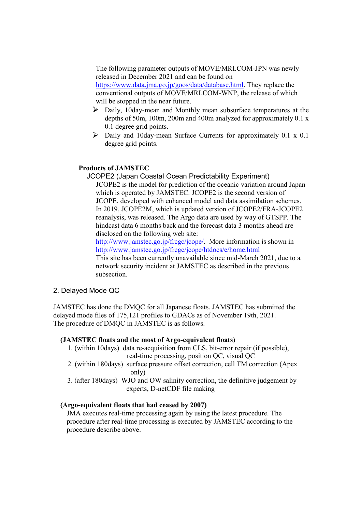The following parameter outputs of MOVE/MRI.COM-JPN was newly released in December 2021 and can be found on https://www.data.jma.go.jp/goos/data/database.html. They replace the conventional outputs of MOVE/MRI.COM-WNP, the release of which will be stopped in the near future.

- $\triangleright$  Daily, 10day-mean and Monthly mean subsurface temperatures at the depths of 50m, 100m, 200m and 400m analyzed for approximately 0.1 x 0.1 degree grid points.
- $\triangleright$  Daily and 10day-mean Surface Currents for approximately 0.1 x 0.1 degree grid points.

# **Products of JAMSTEC**

JCOPE2 (Japan Coastal Ocean Predictability Experiment) JCOPE2 is the model for prediction of the oceanic variation around Japan which is operated by JAMSTEC. JCOPE2 is the second version of JCOPE, developed with enhanced model and data assimilation schemes. In 2019, JCOPE2M, which is updated version of JCOPE2/FRA-JCOPE2 reanalysis, was released. The Argo data are used by way of GTSPP. The hindcast data 6 months back and the forecast data 3 months ahead are disclosed on the following web site:

http://www.jamstec.go.jp/frcgc/jcope/. More information is shown in http://www.jamstec.go.jp/frcgc/jcope/htdocs/e/home.html

This site has been currently unavailable since mid-March 2021, due to a network security incident at JAMSTEC as described in the previous subsection.

### 2. Delayed Mode QC

JAMSTEC has done the DMQC for all Japanese floats. JAMSTEC has submitted the delayed mode files of 175,121 profiles to GDACs as of November 19th, 2021. The procedure of DMQC in JAMSTEC is as follows.

### **(JAMSTEC floats and the most of Argo-equivalent floats)**

- 1. (within 10days) data re-acquisition from CLS, bit-error repair (if possible), real-time processing, position QC, visual QC
- 2. (within 180days) surface pressure offset correction, cell TM correction (Apex only)
- 3. (after 180days) WJO and OW salinity correction, the definitive judgement by experts, D-netCDF file making

### **(Argo-equivalent floats that had ceased by 2007)**

JMA executes real-time processing again by using the latest procedure. The procedure after real-time processing is executed by JAMSTEC according to the procedure describe above.